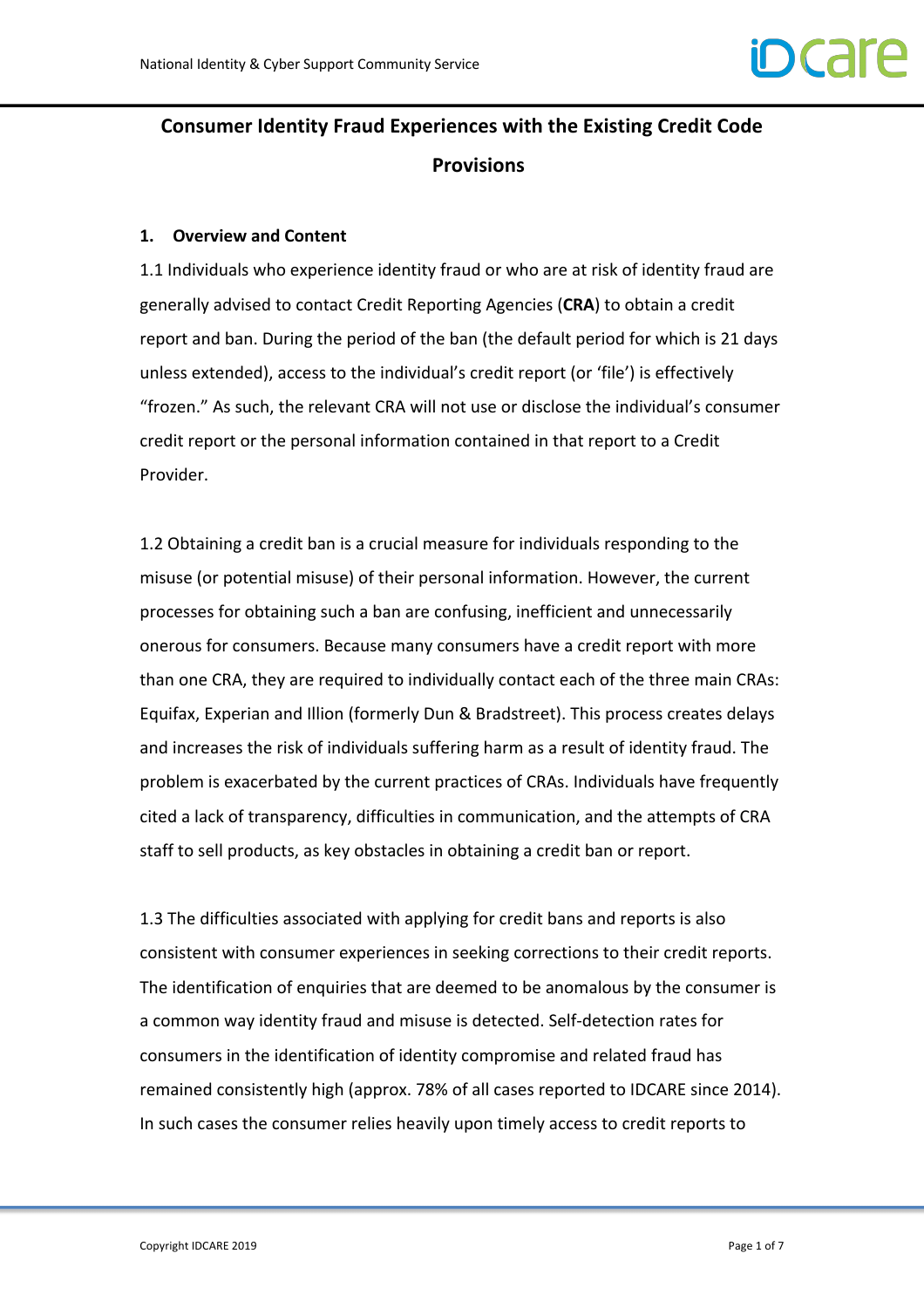# **Consumer Identity Fraud Experiences with the Existing Credit Code Provisions**

# **1. Overview and Content**

1.1 Individuals who experience identity fraud or who are at risk of identity fraud are generally advised to contact Credit Reporting Agencies (**CRA**) to obtain a credit report and ban. During the period of the ban (the default period for which is 21 days unless extended), access to the individual's credit report (or 'file') is effectively "frozen." As such, the relevant CRA will not use or disclose the individual's consumer credit report or the personal information contained in that report to a Credit Provider.

1.2 Obtaining a credit ban is a crucial measure for individuals responding to the misuse (or potential misuse) of their personal information. However, the current processes for obtaining such a ban are confusing, inefficient and unnecessarily onerous for consumers. Because many consumers have a credit report with more than one CRA, they are required to individually contact each of the three main CRAs: Equifax, Experian and Illion (formerly Dun & Bradstreet). This process creates delays and increases the risk of individuals suffering harm as a result of identity fraud. The problem is exacerbated by the current practices of CRAs. Individuals have frequently cited a lack of transparency, difficulties in communication, and the attempts of CRA staff to sell products, as key obstacles in obtaining a credit ban or report.

1.3 The difficulties associated with applying for credit bans and reports is also consistent with consumer experiences in seeking corrections to their credit reports. The identification of enquiries that are deemed to be anomalous by the consumer is a common way identity fraud and misuse is detected. Self-detection rates for consumers in the identification of identity compromise and related fraud has remained consistently high (approx. 78% of all cases reported to IDCARE since 2014). In such cases the consumer relies heavily upon timely access to credit reports to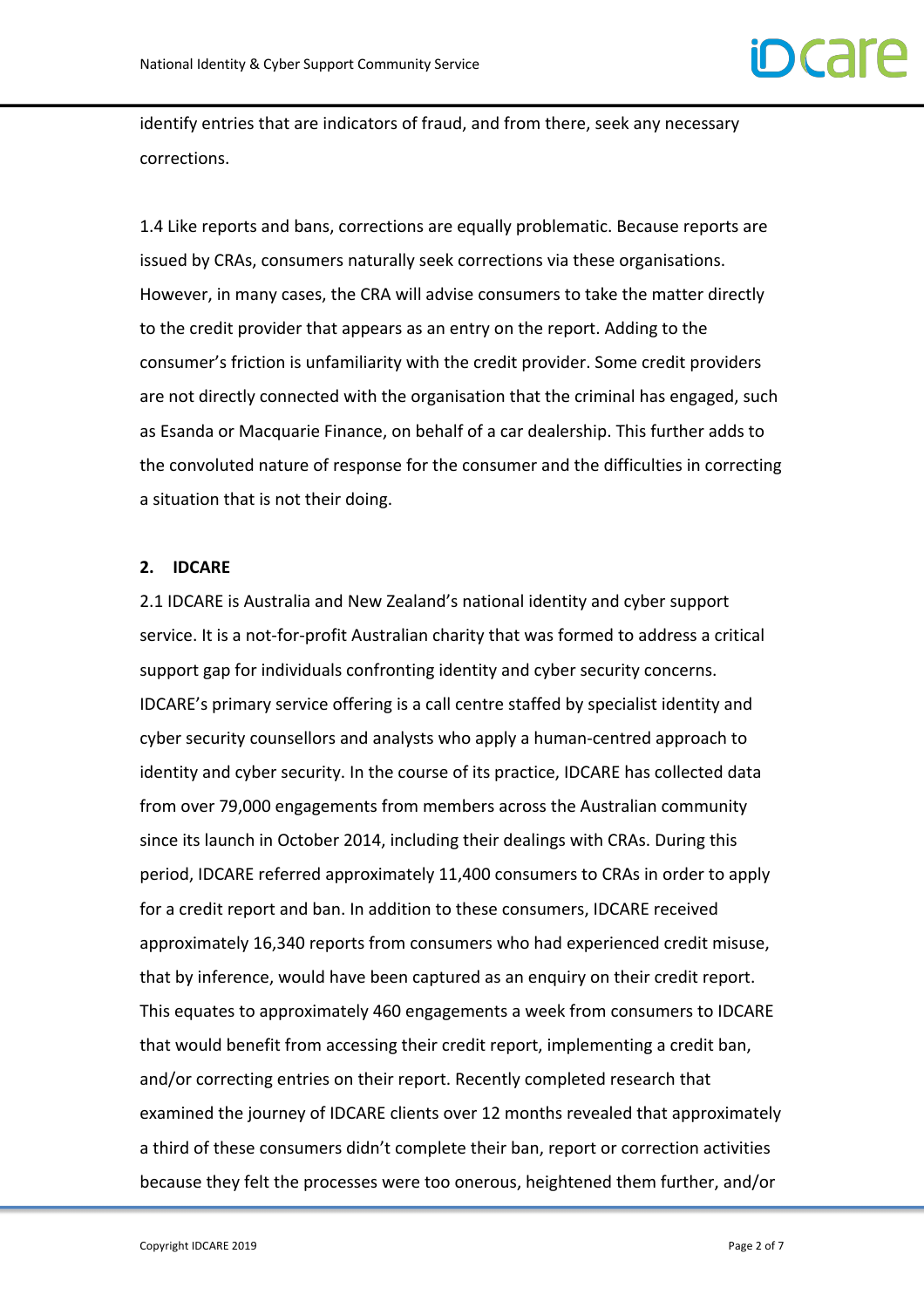identify entries that are indicators of fraud, and from there, seek any necessary corrections.

1.4 Like reports and bans, corrections are equally problematic. Because reports are issued by CRAs, consumers naturally seek corrections via these organisations. However, in many cases, the CRA will advise consumers to take the matter directly to the credit provider that appears as an entry on the report. Adding to the consumer's friction is unfamiliarity with the credit provider. Some credit providers are not directly connected with the organisation that the criminal has engaged, such as Esanda or Macquarie Finance, on behalf of a car dealership. This further adds to the convoluted nature of response for the consumer and the difficulties in correcting a situation that is not their doing.

#### **2. IDCARE**

2.1 IDCARE is Australia and New Zealand's national identity and cyber support service. It is a not-for-profit Australian charity that was formed to address a critical support gap for individuals confronting identity and cyber security concerns. IDCARE's primary service offering is a call centre staffed by specialist identity and cyber security counsellors and analysts who apply a human-centred approach to identity and cyber security. In the course of its practice, IDCARE has collected data from over 79,000 engagements from members across the Australian community since its launch in October 2014, including their dealings with CRAs. During this period, IDCARE referred approximately 11,400 consumers to CRAs in order to apply for a credit report and ban. In addition to these consumers, IDCARE received approximately 16,340 reports from consumers who had experienced credit misuse, that by inference, would have been captured as an enquiry on their credit report. This equates to approximately 460 engagements a week from consumers to IDCARE that would benefit from accessing their credit report, implementing a credit ban, and/or correcting entries on their report. Recently completed research that examined the journey of IDCARE clients over 12 months revealed that approximately a third of these consumers didn't complete their ban, report or correction activities because they felt the processes were too onerous, heightened them further, and/or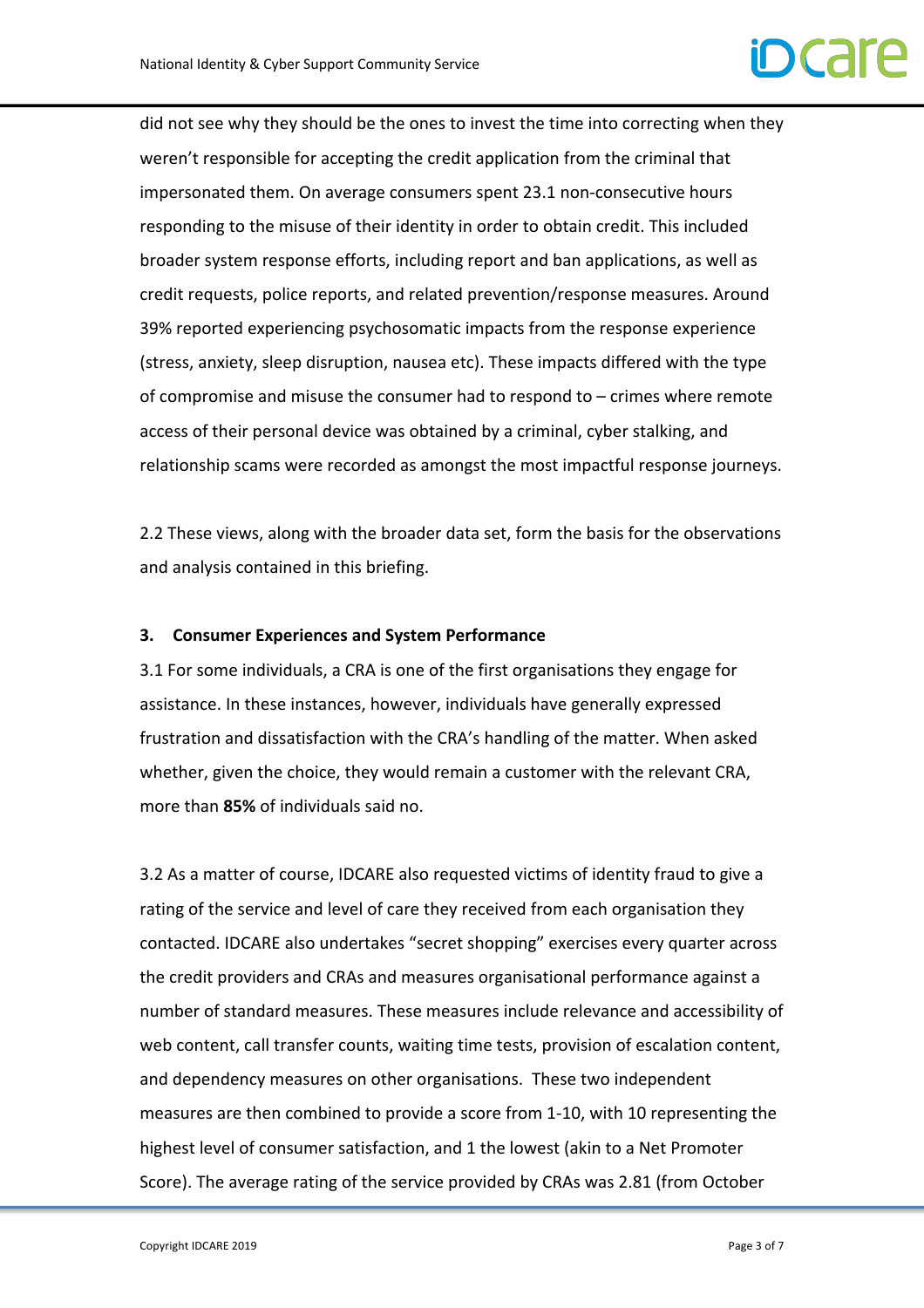

did not see why they should be the ones to invest the time into correcting when they weren't responsible for accepting the credit application from the criminal that impersonated them. On average consumers spent 23.1 non-consecutive hours responding to the misuse of their identity in order to obtain credit. This included broader system response efforts, including report and ban applications, as well as credit requests, police reports, and related prevention/response measures. Around 39% reported experiencing psychosomatic impacts from the response experience (stress, anxiety, sleep disruption, nausea etc). These impacts differed with the type of compromise and misuse the consumer had to respond to – crimes where remote access of their personal device was obtained by a criminal, cyber stalking, and relationship scams were recorded as amongst the most impactful response journeys.

2.2 These views, along with the broader data set, form the basis for the observations and analysis contained in this briefing.

#### **3. Consumer Experiences and System Performance**

3.1 For some individuals, a CRA is one of the first organisations they engage for assistance. In these instances, however, individuals have generally expressed frustration and dissatisfaction with the CRA's handling of the matter. When asked whether, given the choice, they would remain a customer with the relevant CRA, more than **85%** of individuals said no.

3.2 As a matter of course, IDCARE also requested victims of identity fraud to give a rating of the service and level of care they received from each organisation they contacted. IDCARE also undertakes "secret shopping" exercises every quarter across the credit providers and CRAs and measures organisational performance against a number of standard measures. These measures include relevance and accessibility of web content, call transfer counts, waiting time tests, provision of escalation content, and dependency measures on other organisations. These two independent measures are then combined to provide a score from 1-10, with 10 representing the highest level of consumer satisfaction, and 1 the lowest (akin to a Net Promoter Score). The average rating of the service provided by CRAs was 2.81 (from October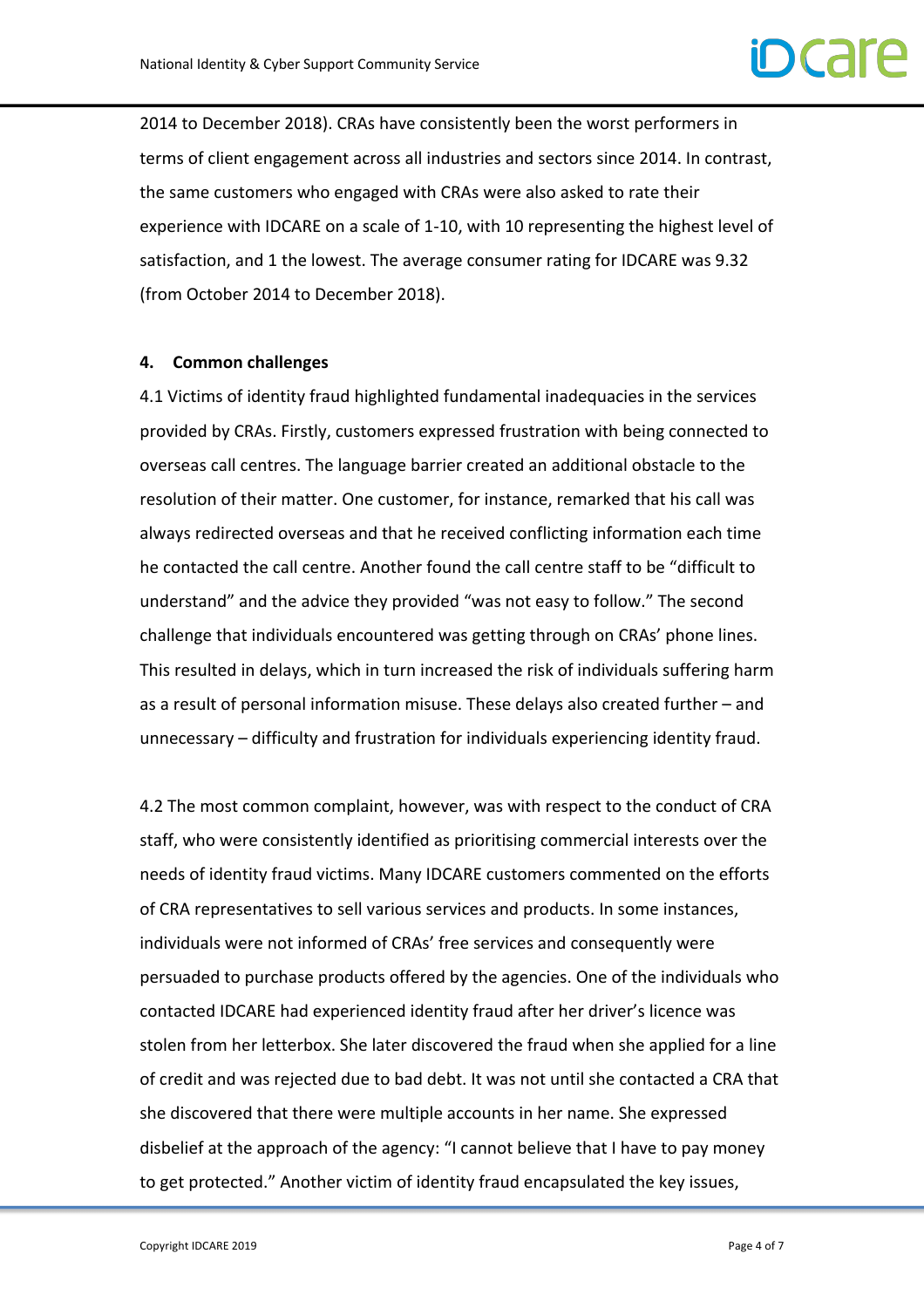2014 to December 2018). CRAs have consistently been the worst performers in terms of client engagement across all industries and sectors since 2014. In contrast, the same customers who engaged with CRAs were also asked to rate their experience with IDCARE on a scale of 1-10, with 10 representing the highest level of satisfaction, and 1 the lowest. The average consumer rating for IDCARE was 9.32 (from October 2014 to December 2018).

#### **4. Common challenges**

4.1 Victims of identity fraud highlighted fundamental inadequacies in the services provided by CRAs. Firstly, customers expressed frustration with being connected to overseas call centres. The language barrier created an additional obstacle to the resolution of their matter. One customer, for instance, remarked that his call was always redirected overseas and that he received conflicting information each time he contacted the call centre. Another found the call centre staff to be "difficult to understand" and the advice they provided "was not easy to follow." The second challenge that individuals encountered was getting through on CRAs' phone lines. This resulted in delays, which in turn increased the risk of individuals suffering harm as a result of personal information misuse. These delays also created further – and unnecessary – difficulty and frustration for individuals experiencing identity fraud.

4.2 The most common complaint, however, was with respect to the conduct of CRA staff, who were consistently identified as prioritising commercial interests over the needs of identity fraud victims. Many IDCARE customers commented on the efforts of CRA representatives to sell various services and products. In some instances, individuals were not informed of CRAs' free services and consequently were persuaded to purchase products offered by the agencies. One of the individuals who contacted IDCARE had experienced identity fraud after her driver's licence was stolen from her letterbox. She later discovered the fraud when she applied for a line of credit and was rejected due to bad debt. It was not until she contacted a CRA that she discovered that there were multiple accounts in her name. She expressed disbelief at the approach of the agency: "I cannot believe that I have to pay money to get protected." Another victim of identity fraud encapsulated the key issues,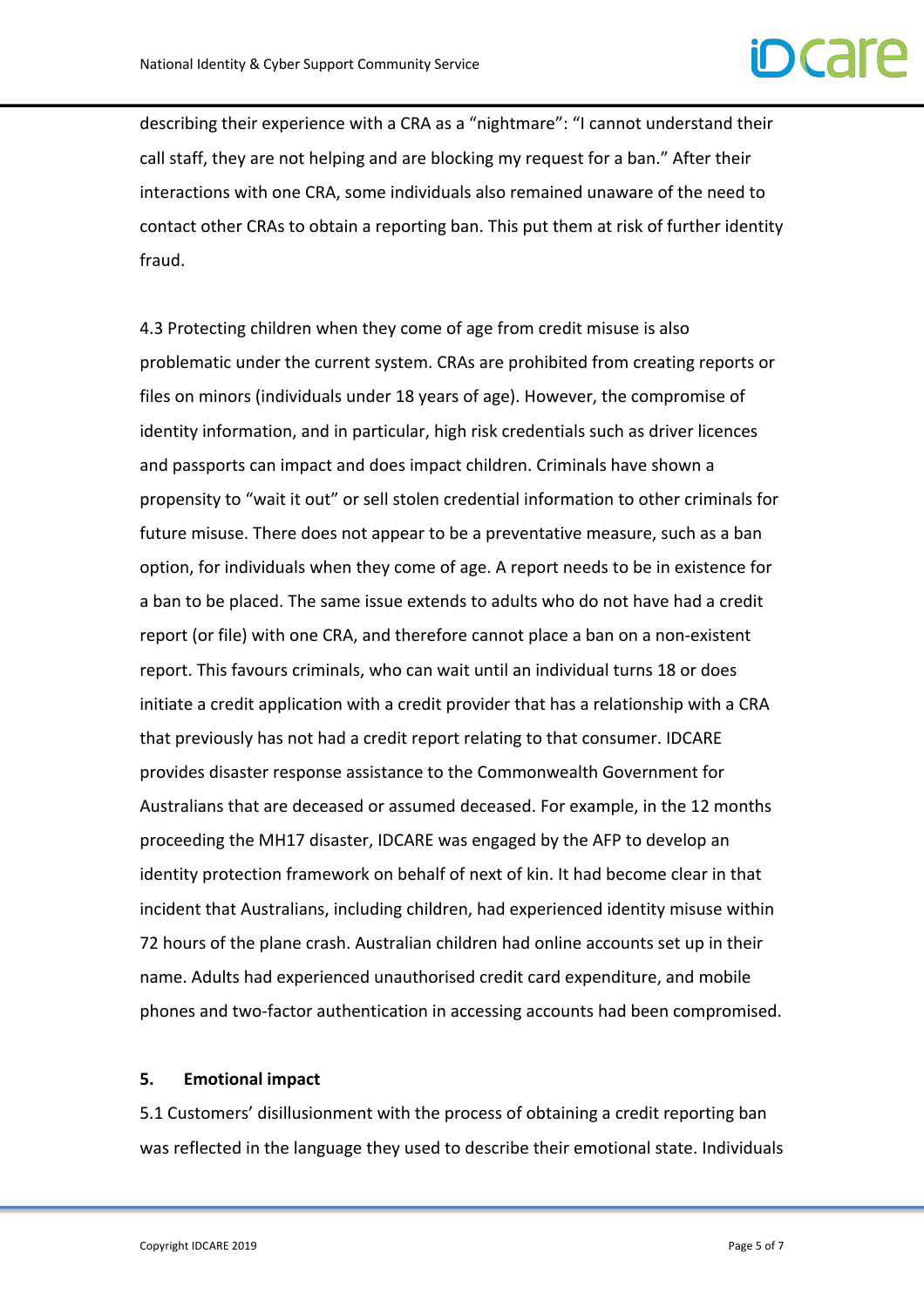# $\Gamma$

describing their experience with a CRA as a "nightmare": "I cannot understand their call staff, they are not helping and are blocking my request for a ban." After their interactions with one CRA, some individuals also remained unaware of the need to contact other CRAs to obtain a reporting ban. This put them at risk of further identity fraud.

4.3 Protecting children when they come of age from credit misuse is also problematic under the current system. CRAs are prohibited from creating reports or files on minors (individuals under 18 years of age). However, the compromise of identity information, and in particular, high risk credentials such as driver licences and passports can impact and does impact children. Criminals have shown a propensity to "wait it out" or sell stolen credential information to other criminals for future misuse. There does not appear to be a preventative measure, such as a ban option, for individuals when they come of age. A report needs to be in existence for a ban to be placed. The same issue extends to adults who do not have had a credit report (or file) with one CRA, and therefore cannot place a ban on a non-existent report. This favours criminals, who can wait until an individual turns 18 or does initiate a credit application with a credit provider that has a relationship with a CRA that previously has not had a credit report relating to that consumer. IDCARE provides disaster response assistance to the Commonwealth Government for Australians that are deceased or assumed deceased. For example, in the 12 months proceeding the MH17 disaster, IDCARE was engaged by the AFP to develop an identity protection framework on behalf of next of kin. It had become clear in that incident that Australians, including children, had experienced identity misuse within 72 hours of the plane crash. Australian children had online accounts set up in their name. Adults had experienced unauthorised credit card expenditure, and mobile phones and two-factor authentication in accessing accounts had been compromised.

#### **5. Emotional impact**

5.1 Customers' disillusionment with the process of obtaining a credit reporting ban was reflected in the language they used to describe their emotional state. Individuals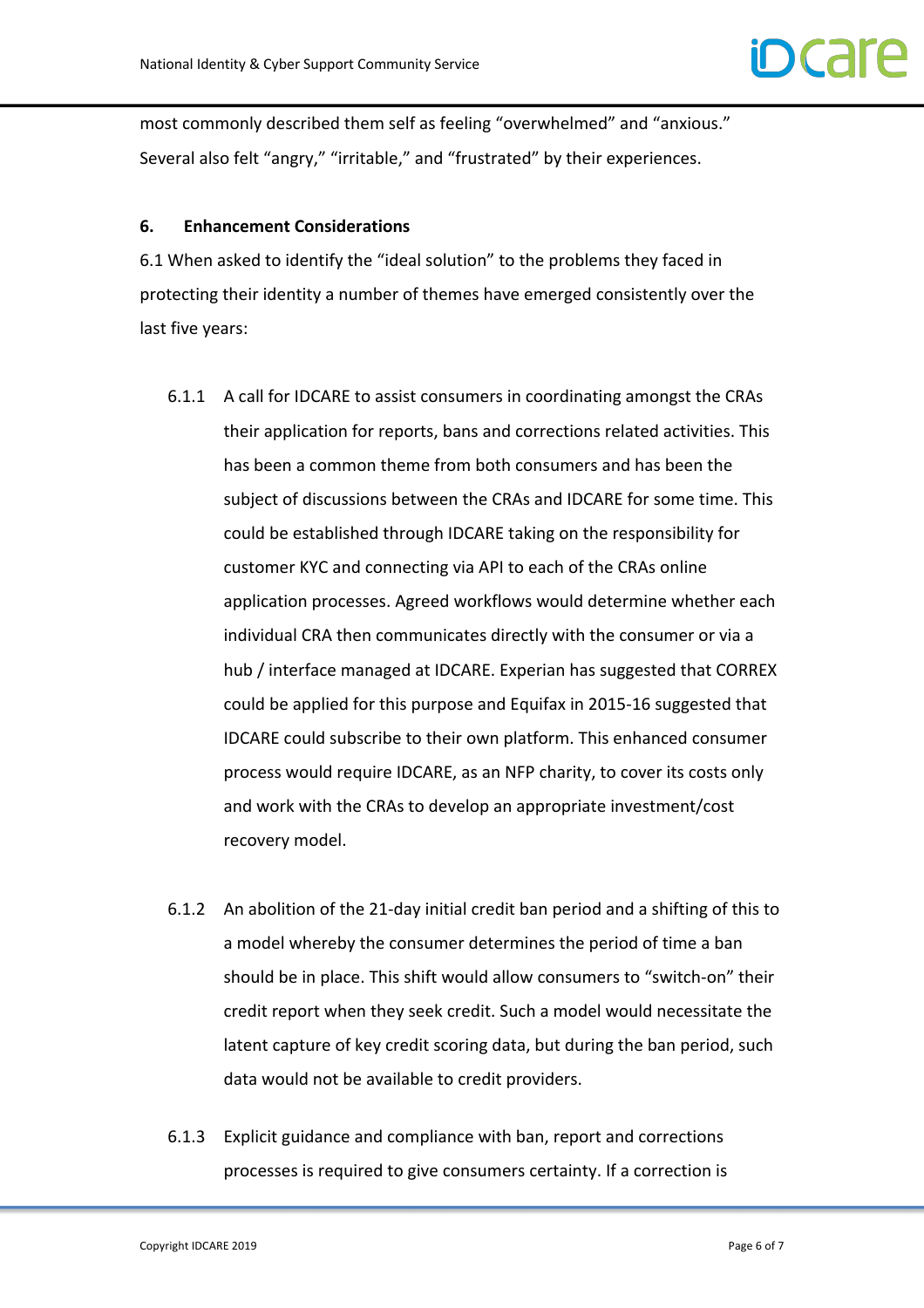most commonly described them self as feeling "overwhelmed" and "anxious." Several also felt "angry," "irritable," and "frustrated" by their experiences.

### **6. Enhancement Considerations**

6.1 When asked to identify the "ideal solution" to the problems they faced in protecting their identity a number of themes have emerged consistently over the last five years:

- 6.1.1 A call for IDCARE to assist consumers in coordinating amongst the CRAs their application for reports, bans and corrections related activities. This has been a common theme from both consumers and has been the subject of discussions between the CRAs and IDCARE for some time. This could be established through IDCARE taking on the responsibility for customer KYC and connecting via API to each of the CRAs online application processes. Agreed workflows would determine whether each individual CRA then communicates directly with the consumer or via a hub / interface managed at IDCARE. Experian has suggested that CORREX could be applied for this purpose and Equifax in 2015-16 suggested that IDCARE could subscribe to their own platform. This enhanced consumer process would require IDCARE, as an NFP charity, to cover its costs only and work with the CRAs to develop an appropriate investment/cost recovery model.
- 6.1.2 An abolition of the 21-day initial credit ban period and a shifting of this to a model whereby the consumer determines the period of time a ban should be in place. This shift would allow consumers to "switch-on" their credit report when they seek credit. Such a model would necessitate the latent capture of key credit scoring data, but during the ban period, such data would not be available to credit providers.
- 6.1.3 Explicit guidance and compliance with ban, report and corrections processes is required to give consumers certainty. If a correction is